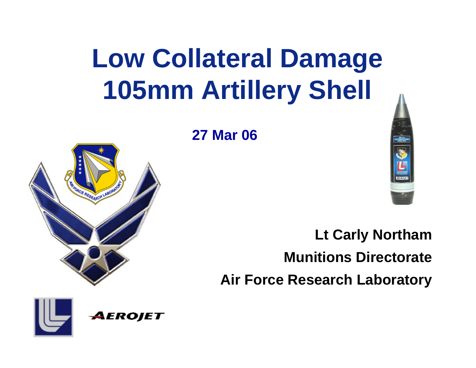# **Low Collateral Damage 105mm Artillery Shell**

### **27 Mar 06**





**Lt Carly Northam Munitions DirectorateAir Force Research Laboratory**

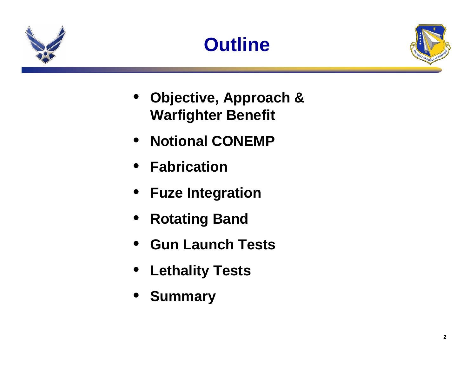





- **Objective, Approach & Warfighter Benefit**
- **Notional CONEMP**
- **Fabrication**
- **Fuze Integration**
- **Rotating Band**
- **Gun Launch Tests**
- **Lethality Tests**
- •**Summary**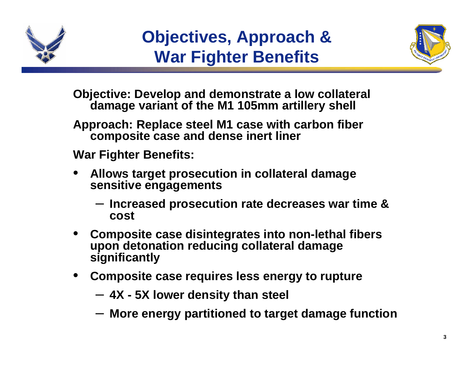

### **Objectives, Approach & War Fighter Benefits**



**Objective: Develop and demonstrate a low collateral damage variant of the M1 105mm artillery shell** 

**Approach: Replace steel M1 case with carbon fiber composite case and dense inert liner** 

**War Fighter Benefits:**

- • **Allows target prosecution in collateral damage sensitive engagements**
	- **Increased prosecution rate decreases war time & cost**
- • **Composite case disintegrates into non-lethal fibers upon detonation reducing collateral damage significantly**
- • **Composite case requires less energy to rupture**
	- **4X - 5X lower density than steel**
	- **More energy partitioned to target damage function**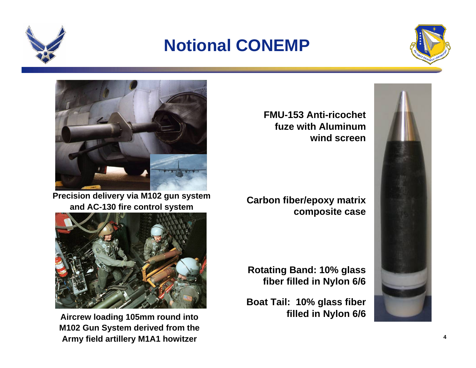





**Precision delivery via M102 gun system and AC-130 fire control system**



**Aircrew loading 105mm round into M102 Gun System derived from the Army field artillery M1A1 howitzer**

**FMU-153 Anti-ricochet fuze with Aluminum wind screen**

**Carbon fiber/epoxy matrix composite case**

**Rotating Band: 10% glass fiber filled in Nylon 6/6**

**Boat Tail: 10% glass fiber filled in Nylon 6/6** 

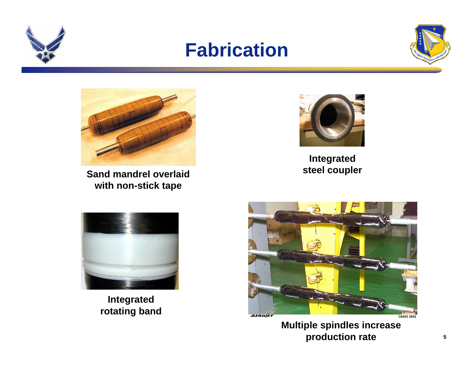

### **Fabrication**





**Sand mandrel overlaid with non-stick tape** 



**Integrated steel coupler**



**Integrated rotating band**



**Multiple spindles increase production rate**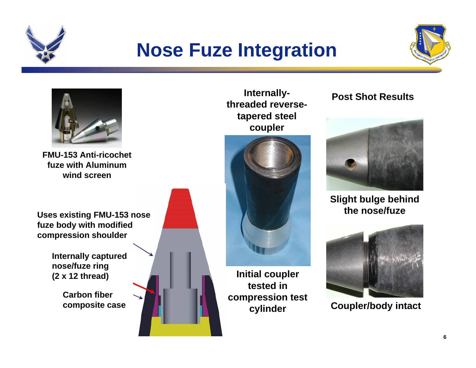

### **Nose Fuze Integration**





**FMU-153 Anti-ricochet fuze with Aluminum wind screen**

**Uses existing FMU-153 nose fuze body with modified compression shoulder**

> **Internally captured nose/fuze ring (2 x 12 thread)**

> > **Carbon fiber composite case**



**Internallythreaded reversetapered steel coupler**



**Initial coupler tested in compression test cylinder**

#### **Post Shot Results**



**Slight bulge behind the nose/fuze**



**Coupler/body intact**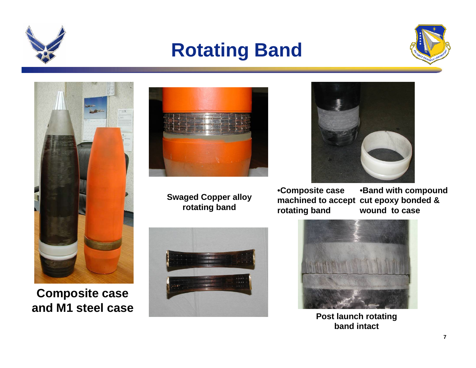

### **Rotating Band**





**Composite case and M1 steel case**



**Swaged Copper alloy rotating band**





•**Composite case machined to accept cut epoxy bonded & rotating band** •**Band with compound wound to case**



**Post launch rotating band intact**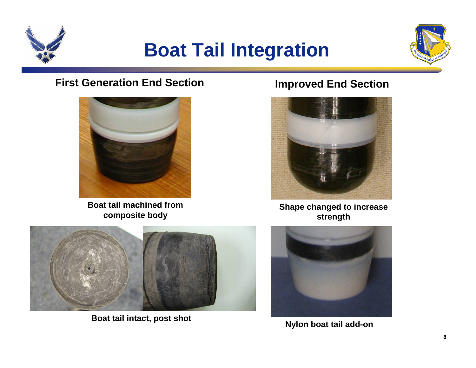

### **Boat Tail Integration**



#### **First Generation End Section**



**Boat tail machined from composite body**

#### **Improved End Section**



**Shape changed to increase strength**



**Boat tail intact, post shot**



**Nylon boat tail add-on**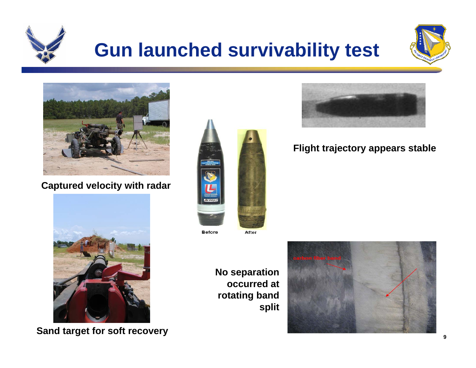

## **Gun launched survivability test**





#### **Captured velocity with radar**



**Sand target for soft recovery**



**Before** 

After

**No separation occurred at rotating band split**





#### **Flight trajectory appears stable**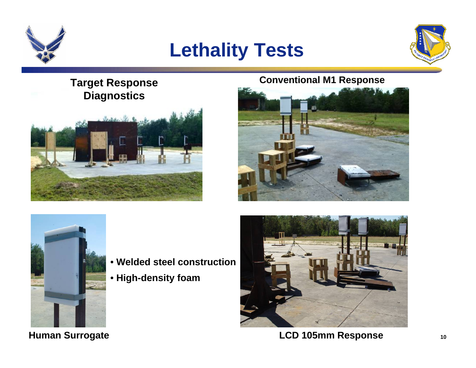

### **Lethality Tests**



#### **Target Response Diagnostics**



#### **Conventional M1 Response**





- **Welded steel construction**
- **High-density foam**



**LCD 105mm Response**